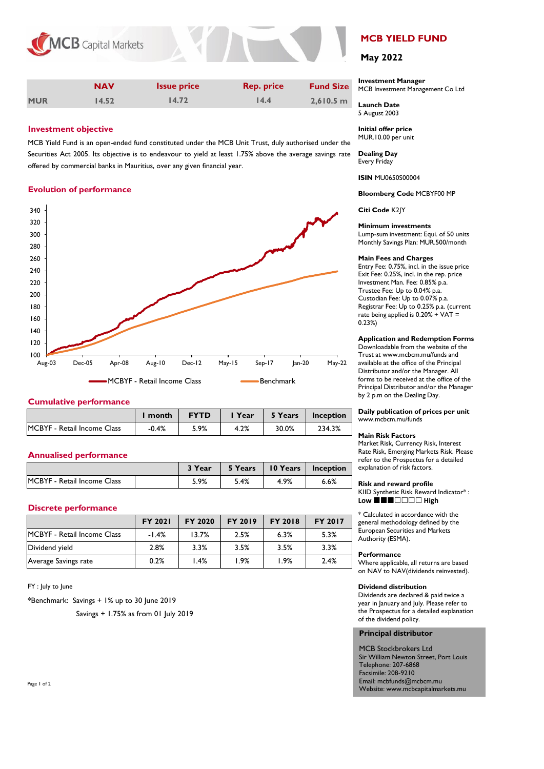



|            | <b>NAV</b> | <b>Issue price</b> | <b>Rep. price</b> | <b>Fund Size</b> |
|------------|------------|--------------------|-------------------|------------------|
| <b>MUR</b> | 14.52      | 14.72              | 14.4              | $2,610.5$ m      |

# **Investment objective**

MCB Yield Fund is an open-ended fund constituted under the MCB Unit Trust, duly authorised under the Securities Act 2005. Its objective is to endeavour to yield at least 1.75% above the average savings rate offered by commercial banks in Mauritius, over any given financial year.

# **Evolution of performance**



## **Cumulative performance**

|                             | month   | <b>FYTD</b> | Year | 5 Years | Inception |
|-----------------------------|---------|-------------|------|---------|-----------|
| MCBYF - Retail Income Class | $-0.4%$ | 5.9%        | 4.2% | 30.0%   | 234.3%    |

## **Annualised performance**

|                                    | 3 Year | 5 Years | 10 Years | Inception |
|------------------------------------|--------|---------|----------|-----------|
| <b>MCBYF</b> - Retail Income Class | 5.9%   | 5.4%    | 4.9%     | 6.6%      |

## **Discrete performance**

|                                    | <b>FY 2021</b> | FY 2020 | <b>FY 2019</b> | <b>FY 2018</b> | <b>FY 2017</b> |
|------------------------------------|----------------|---------|----------------|----------------|----------------|
| <b>MCBYF</b> - Retail Income Class | $-1.4%$        | 13.7%   | 2.5%           | 6.3%           | 5.3%           |
| Dividend yield                     | 2.8%           | 3.3%    | 3.5%           | 3.5%           | 3.3%           |
| Average Savings rate               | 0.2%           | 1.4%    | l.9%           | l.9%           | 2.4%           |

# FY : July to June

\*Benchmark: Savings + 1% up to 30 June 2019

Savings + 1.75% as from 01 July 2019

# **MCB YIELD FUND**

# **May 2022**

# **Investment Manager**

MCB Investment Management Co Ltd

**Launch Date** 5 August 2003

**Initial offer price** MUR.10.00 per unit

**Dealing Day** Every Friday

**ISIN** MU0650S00004

**Bloomberg Code** MCBYF00 MP

**Citi Code** K2JY

#### **Minimum investments**

Lump-sum investment: Equi. of 50 units Monthly Savings Plan: MUR.500/month

#### **Main Fees and Charges**

Entry Fee: 0.75%, incl. in the issue price Exit Fee: 0.25%, incl. in the rep. price Investment Man. Fee: 0.85% p.a. Trustee Fee: Up to 0.04% p.a. Custodian Fee: Up to 0.07% p.a. Registrar Fee: Up to 0.25% p.a. (current rate being applied is  $0.20\% + VA$ T = 0.23%)

#### **Application and Redemption Forms**

Downloadable from the website of the Trust at www.mcbcm.mu/funds and available at the office of the Principal Distributor and/or the Manager. All forms to be received at the office of the Principal Distributor and/or the Manager by 2 p.m on the Dealing Day.

**Daily publication of prices per unit** www.mcbcm.mu/funds

#### **Main Risk Factors**

Market Risk, Currency Risk, Interest Rate Risk, Emerging Markets Risk. Please refer to the Prospectus for a detailed explanation of risk factors.

## **Risk and reward profile**

KIID Synthetic Risk Reward Indicator\* : Low **■■■**□□□□ High

\* Calculated in accordance with the general methodology defined by the European Securities and Markets Authority (ESMA).

#### **Performance**

Where applicable, all returns are based on NAV to NAV(dividends reinvested).

#### **Dividend distribution**

Dividends are declared & paid twice a year in January and July. Please refer to the Prospectus for a detailed explanation of the dividend policy.

#### **Principal distributor**

MCB Stockbrokers Ltd Sir William Newton Street, Port Louis Telephone: 207-6868 Facsimile: 208-9210 Email: mcbfunds@mcbcm.mu Website: www.mcbcapitalmarkets.mu